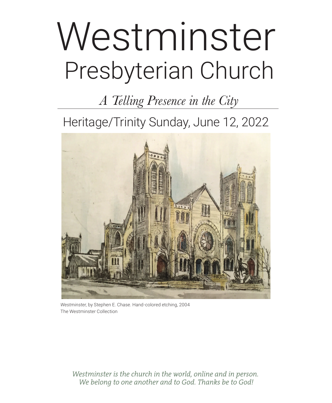# Presbyterian Church Westminster

*A Telling Presence in the City*

Heritage/Trinity Sunday, June 12, 2022



*Westminster,* by Stephen E. Chase. Hand-colored etching, 2004 The Westminster Collection

*Westminster is the church in the world, online and in person. We belong to one another and to God. Thanks be to God!*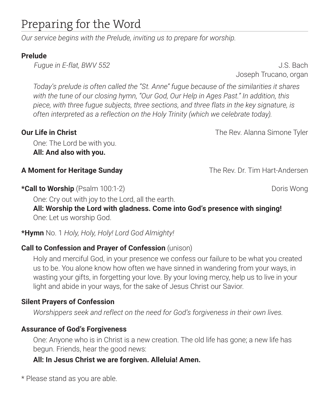# Preparing for the Word

*Our service begins with the Prelude, inviting us to prepare for worship.*

# **Prelude**

*Fugue in E-flat, BWV 552*  $\qquad \qquad$  *J.S. Bach* 

Joseph Trucano, organ

*Today's prelude is often called the "St. Anne" fugue because of the similarities it shares with the tune of our closing hymn, "Our God, Our Help in Ages Past." In addition, this piece, with three fugue subjects, three sections, and three flats in the key signature, is often interpreted as a reflection on the Holy Trinity (which we celebrate today).* 

One: The Lord be with you. **All: And also with you.**

# **A Moment for Heritage Sunday** The Rev. Dr. Tim Hart-Andersen

**\*Call to Worship** (Psalm 100:1-2) **Dominically Research Control** Doris Wong

One: Cry out with joy to the Lord, all the earth.

**All: Worship the Lord with gladness. Come into God's presence with singing!** One: Let us worship God.

# **\*Hymn** No. 1 *Holy, Holy, Holy! Lord God Almighty!*

# **Call to Confession and Prayer of Confession** (unison)

Holy and merciful God, in your presence we confess our failure to be what you created us to be. You alone know how often we have sinned in wandering from your ways, in wasting your gifts, in forgetting your love. By your loving mercy, help us to live in your light and abide in your ways, for the sake of Jesus Christ our Savior.

# **Silent Prayers of Confession**

*Worshippers seek and reflect on the need for God's forgiveness in their own lives.*

# **Assurance of God's Forgiveness**

One: Anyone who is in Christ is a new creation. The old life has gone; a new life has begun. Friends, hear the good news:

# **All: In Jesus Christ we are forgiven. Alleluia! Amen.**

\* Please stand as you are able.

**Our Life in Christ The Rev. Alanna Simone Tyler Our Life in Christ The Rev. Alanna Simone Tyler**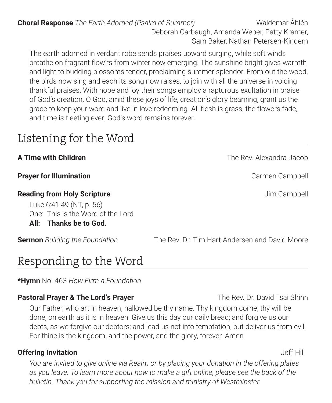**Choral Response** *The Earth Adorned (Psalm of Summer)* Waldemar Åhlén Deborah Carbaugh, Amanda Weber, Patty Kramer, Sam Baker, Nathan Petersen-Kindem

The earth adorned in verdant robe sends praises upward surging, while soft winds breathe on fragrant flow'rs from winter now emerging. The sunshine bright gives warmth and light to budding blossoms tender, proclaiming summer splendor. From out the wood, the birds now sing and each its song now raises, to join with all the universe in voicing thankful praises. With hope and joy their songs employ a rapturous exultation in praise of God's creation. O God, amid these joys of life, creation's glory beaming, grant us the grace to keep your word and live in love redeeming. All flesh is grass, the flowers fade, and time is fleeting ever; God's word remains forever.

# Listening for the Word

# **Prayer for Illumination** Carrier Campbell

# **Reading from Holy Scripture All and Scripture**  $\blacksquare$  Jim Campbell

Luke 6:41-49 (NT, p. 56) One: This is the Word of the Lord. **All: Thanks be to God.** 

**Sermon** *Building the Foundation* The Rev. Dr. Tim Hart-Andersen and David Moore

# Responding to the Word

**\*Hymn** No. 463 *How Firm a Foundation*

# **Pastoral Prayer & The Lord's Prayer** The Rev. Dr. David Tsai Shinn

Our Father, who art in heaven, hallowed be thy name. Thy kingdom come, thy will be done, on earth as it is in heaven. Give us this day our daily bread; and forgive us our debts, as we forgive our debtors; and lead us not into temptation, but deliver us from evil. For thine is the kingdom, and the power, and the glory, forever. Amen.

# **Offering Invitation Jeff Hill**

*You are invited to give online via Realm or by placing your donation in the offering plates as you leave. To learn more about how to make a gift online, please see the back of the bulletin. Thank you for supporting the mission and ministry of Westminster.* 

**A Time with Children** The Rev. Alexandra Jacob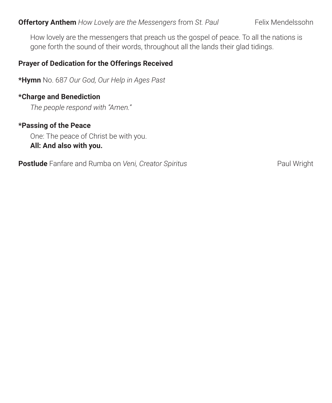### **Offertory Anthem** *How Lovely are the Messengers from St. Paul* Felix Mendelssohn

How lovely are the messengers that preach us the gospel of peace. To all the nations is gone forth the sound of their words, throughout all the lands their glad tidings.

#### **Prayer of Dedication for the Offerings Received**

**\*Hymn** No. 687 *Our God, Our Help in Ages Past*

#### **\*Charge and Benediction**

*The people respond with "Amen."* 

#### **\*Passing of the Peace**

One: The peace of Christ be with you. **All: And also with you.**

**Postlude** Fanfare and Rumba on Veni, Creator Spiritus **Paul Property Access** Paul Wright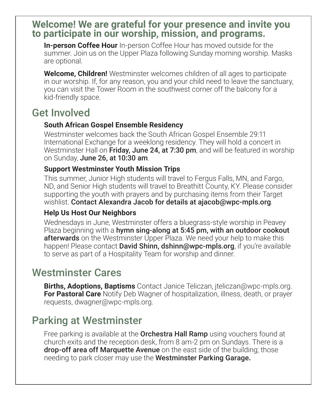# **Welcome! We are grateful for your presence and invite you to participate in our worship, mission, and programs.**

**In-person Coffee Hour** In-person Coffee Hour has moved outside for the summer. Join us on the Upper Plaza following Sunday morning worship. Masks are optional.

**Welcome, Children!** Westminster welcomes children of all ages to participate in our worship. If, for any reason, you and your child need to leave the sanctuary, you can visit the Tower Room in the southwest corner off the balcony for a kid-friendly space.

# Get Involved

# **South African Gospel Ensemble Residency**

Westminster welcomes back the South African Gospel Ensemble 29:11 International Exchange for a weeklong residency. They will hold a concert in Westminster Hall on Friday, June 24, at 7:30 pm, and will be featured in worship on Sunday, June 26, at 10:30 am.

### **Support Westminster Youth Mission Trips**

This summer, Junior High students will travel to Fergus Falls, MN, and Fargo, ND, and Senior High students will travel to Breathitt County, KY. Please consider supporting the youth with prayers and by purchasing items from their Target wishlist. Contact Alexandra Jacob for details at ajacob@wpc-mpls.org.

# **Help Us Host Our Neighbors**

Wednesdays in June, Westminster offers a bluegrass-style worship in Peavey Plaza beginning with a **hymn sing-along at 5:45 pm, with an outdoor cookout afterwards** on the Westminster Upper Plaza. We need your help to make this happen! Please contact David Shinn, dshinn@wpc-mpls.org, if you're available to serve as part of a Hospitality Team for worship and dinner.

# Westminster Cares

**Births, Adoptions, Baptisms** Contact Janice Teliczan, jteliczan@wpc-mpls.org. **For Pastoral Care** Notify Deb Wagner of hospitalization, illness, death, or prayer requests, dwagner@wpc-mpls.org.

# Parking at Westminster

Free parking is available at the **Orchestra Hall Ramp** using vouchers found at church exits and the reception desk, from 8 am-2 pm on Sundays. There is a drop-off area off Marquette Avenue on the east side of the building; those needing to park closer may use the Westminster Parking Garage**.**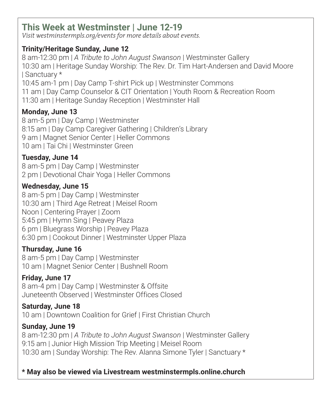# **This Week at Westminster | June 12-19**

*Visit westminstermpls.org/events for more details about events.*

# **Trinity/Heritage Sunday, June 12**

8 am-12:30 pm | *A Tribute to John August Swanson* | Westminster Gallery 10:30 am | Heritage Sunday Worship: The Rev. Dr. Tim Hart-Andersen and David Moore | Sanctuary \* 10:45 am-1 pm | Day Camp T-shirt Pick up | Westminster Commons 11 am | Day Camp Counselor & CIT Orientation | Youth Room & Recreation Room 11:30 am | Heritage Sunday Reception | Westminster Hall

# **Monday, June 13**

8 am-5 pm | Day Camp | Westminster 8:15 am | Day Camp Caregiver Gathering | Children's Library 9 am | Magnet Senior Center | Heller Commons 10 am | Tai Chi | Westminster Green

# **Tuesday, June 14**

8 am-5 pm | Day Camp | Westminster 2 pm | Devotional Chair Yoga | Heller Commons

# **Wednesday, June 15**

8 am-5 pm | Day Camp | Westminster 10:30 am | Third Age Retreat | Meisel Room Noon | Centering Prayer | Zoom 5:45 pm | Hymn Sing | Peavey Plaza 6 pm | Bluegrass Worship | Peavey Plaza 6:30 pm | Cookout Dinner | Westminster Upper Plaza

# **Thursday, June 16**

8 am-5 pm | Day Camp | Westminster 10 am | Magnet Senior Center | Bushnell Room

# **Friday, June 17**

8 am-4 pm | Day Camp | Westminster & Offsite Juneteenth Observed | Westminster Offices Closed

# **Saturday, June 18**

10 am | Downtown Coalition for Grief | First Christian Church

# **Sunday, June 19**

8 am-12:30 pm | *A Tribute to John August Swanson* | Westminster Gallery 9:15 am | Junior High Mission Trip Meeting | Meisel Room 10:30 am | Sunday Worship: The Rev. Alanna Simone Tyler | Sanctuary \*

# **\* May also be viewed via Livestream westminstermpls.online.church**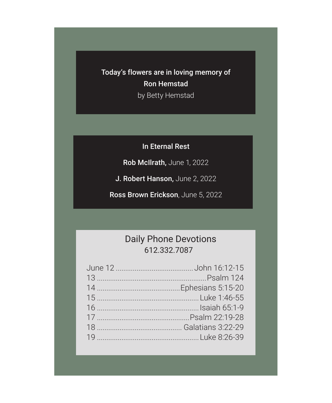Today's flowers are in loving memory of Ron Hemstad

by Betty Hemstad

In Eternal Rest

Rob McIlrath, June 1, 2022

J. Robert Hanson, June 2, 2022

Ross Brown Erickson, June 5, 2022

# Daily Phone Devotions 612.332.7087